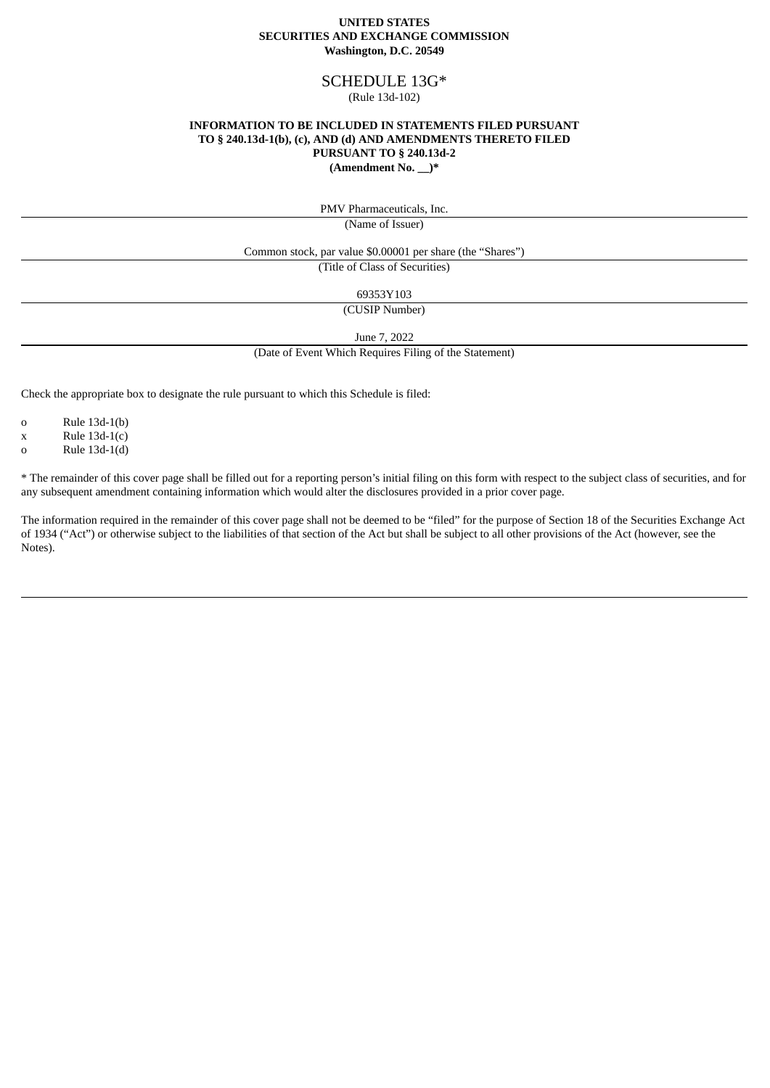### **UNITED STATES SECURITIES AND EXCHANGE COMMISSION Washington, D.C. 20549**

# SCHEDULE 13G\*

### (Rule 13d-102)

### **INFORMATION TO BE INCLUDED IN STATEMENTS FILED PURSUANT TO § 240.13d-1(b), (c), AND (d) AND AMENDMENTS THERETO FILED PURSUANT TO § 240.13d-2 (Amendment No. \_\_)\***

PMV Pharmaceuticals, Inc.

(Name of Issuer)

Common stock, par value \$0.00001 per share (the "Shares")

(Title of Class of Securities)

69353Y103

(CUSIP Number)

June 7, 2022

(Date of Event Which Requires Filing of the Statement)

Check the appropriate box to designate the rule pursuant to which this Schedule is filed:

o Rule 13d-1(b)

 $x$  Rule 13d-1(c)

o Rule 13d-1(d)

\* The remainder of this cover page shall be filled out for a reporting person's initial filing on this form with respect to the subject class of securities, and for any subsequent amendment containing information which would alter the disclosures provided in a prior cover page.

The information required in the remainder of this cover page shall not be deemed to be "filed" for the purpose of Section 18 of the Securities Exchange Act of 1934 ("Act") or otherwise subject to the liabilities of that section of the Act but shall be subject to all other provisions of the Act (however, see the Notes).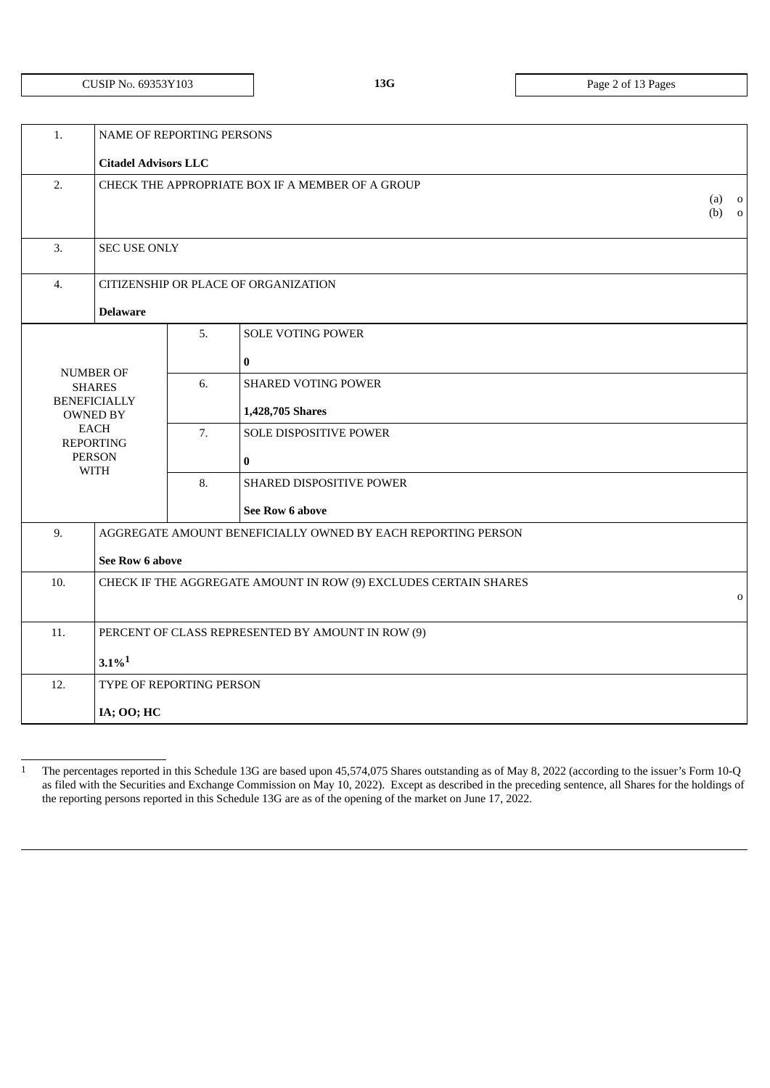# CUSIP NO. 69353Y103 **13G** Page 2 of 13 Pages

| 1.                                                                      | <b>NAME OF REPORTING PERSONS</b>                  |                                                  |                                                              |  |  |  |
|-------------------------------------------------------------------------|---------------------------------------------------|--------------------------------------------------|--------------------------------------------------------------|--|--|--|
|                                                                         | <b>Citadel Advisors LLC</b>                       |                                                  |                                                              |  |  |  |
| 2.                                                                      |                                                   | CHECK THE APPROPRIATE BOX IF A MEMBER OF A GROUP |                                                              |  |  |  |
| 3.                                                                      | <b>SEC USE ONLY</b>                               |                                                  |                                                              |  |  |  |
| 4.                                                                      |                                                   |                                                  | CITIZENSHIP OR PLACE OF ORGANIZATION                         |  |  |  |
|                                                                         | <b>Delaware</b>                                   |                                                  |                                                              |  |  |  |
|                                                                         |                                                   | 5.                                               | <b>SOLE VOTING POWER</b>                                     |  |  |  |
|                                                                         | <b>NUMBER OF</b>                                  |                                                  | $\pmb{0}$                                                    |  |  |  |
|                                                                         | <b>SHARES</b>                                     | 6.                                               | <b>SHARED VOTING POWER</b>                                   |  |  |  |
|                                                                         | <b>BENEFICIALLY</b><br><b>OWNED BY</b>            |                                                  | 1,428,705 Shares                                             |  |  |  |
|                                                                         | EACH<br><b>REPORTING</b>                          | 7.                                               | <b>SOLE DISPOSITIVE POWER</b>                                |  |  |  |
|                                                                         | <b>PERSON</b><br><b>WITH</b>                      |                                                  | $\bf{0}$                                                     |  |  |  |
|                                                                         |                                                   |                                                  | SHARED DISPOSITIVE POWER                                     |  |  |  |
|                                                                         |                                                   |                                                  | See Row 6 above                                              |  |  |  |
| 9.                                                                      |                                                   |                                                  | AGGREGATE AMOUNT BENEFICIALLY OWNED BY EACH REPORTING PERSON |  |  |  |
| See Row 6 above                                                         |                                                   |                                                  |                                                              |  |  |  |
| 10.<br>CHECK IF THE AGGREGATE AMOUNT IN ROW (9) EXCLUDES CERTAIN SHARES |                                                   | $\mathbf 0$                                      |                                                              |  |  |  |
|                                                                         |                                                   |                                                  |                                                              |  |  |  |
| 11.                                                                     | PERCENT OF CLASS REPRESENTED BY AMOUNT IN ROW (9) |                                                  |                                                              |  |  |  |
| $3.1\%$ <sup>1</sup>                                                    |                                                   |                                                  |                                                              |  |  |  |
| 12.<br>TYPE OF REPORTING PERSON                                         |                                                   |                                                  |                                                              |  |  |  |
|                                                                         |                                                   | IA; OO; HC                                       |                                                              |  |  |  |
|                                                                         |                                                   |                                                  |                                                              |  |  |  |

<sup>1</sup> The percentages reported in this Schedule 13G are based upon 45,574,075 Shares outstanding as of May 8, 2022 (according to the issuer's Form 10-Q as filed with the Securities and Exchange Commission on May 10, 2022). Except as described in the preceding sentence, all Shares for the holdings of the reporting persons reported in this Schedule 13G are as of the opening of the market on June 17, 2022.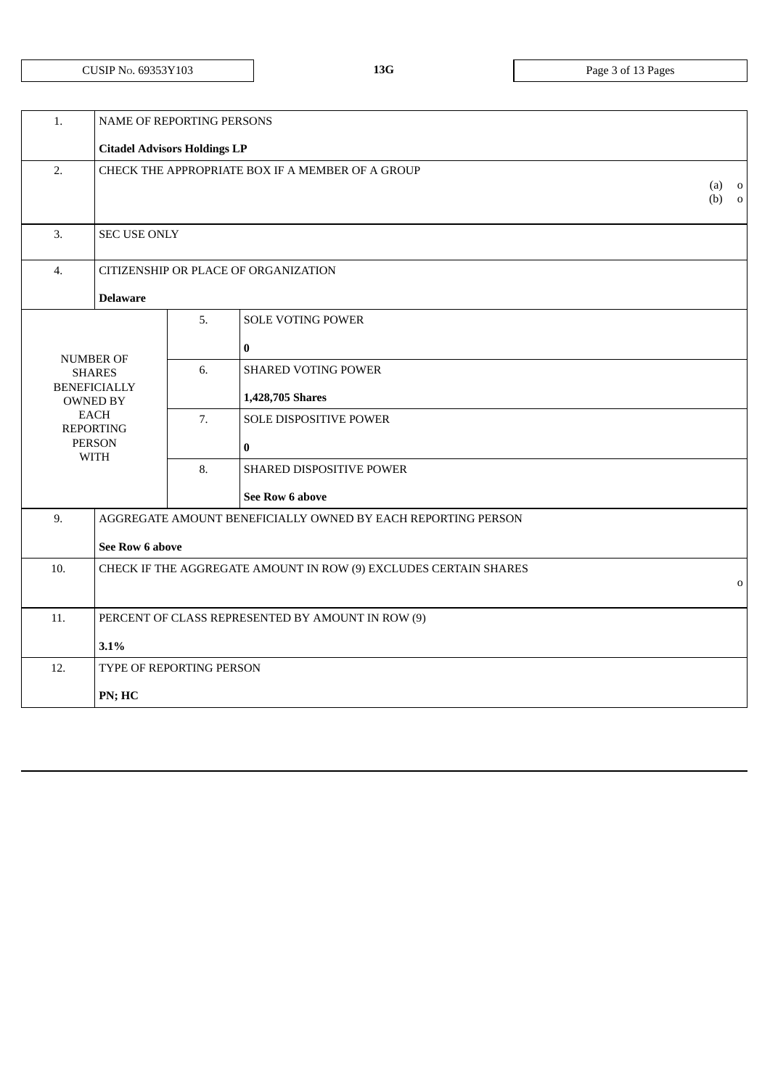| 1.                                                                      | NAME OF REPORTING PERSONS                         |    |                                                              |                                                                  |  |
|-------------------------------------------------------------------------|---------------------------------------------------|----|--------------------------------------------------------------|------------------------------------------------------------------|--|
|                                                                         | <b>Citadel Advisors Holdings LP</b>               |    |                                                              |                                                                  |  |
| 2.                                                                      | CHECK THE APPROPRIATE BOX IF A MEMBER OF A GROUP  |    |                                                              | (a)<br>$\overline{\mathbf{0}}$<br>(b)<br>$\overline{\mathbf{0}}$ |  |
| 3.                                                                      | <b>SEC USE ONLY</b>                               |    |                                                              |                                                                  |  |
| $\overline{4}$ .                                                        |                                                   |    | CITIZENSHIP OR PLACE OF ORGANIZATION                         |                                                                  |  |
|                                                                         | <b>Delaware</b>                                   |    |                                                              |                                                                  |  |
|                                                                         |                                                   | 5. | <b>SOLE VOTING POWER</b>                                     |                                                                  |  |
|                                                                         |                                                   |    | $\bf{0}$                                                     |                                                                  |  |
|                                                                         | <b>NUMBER OF</b><br><b>SHARES</b>                 | 6. | <b>SHARED VOTING POWER</b>                                   |                                                                  |  |
|                                                                         | <b>BENEFICIALLY</b><br><b>OWNED BY</b>            |    | 1,428,705 Shares                                             |                                                                  |  |
|                                                                         | <b>EACH</b><br><b>REPORTING</b>                   | 7. | SOLE DISPOSITIVE POWER                                       |                                                                  |  |
| <b>PERSON</b><br><b>WITH</b>                                            |                                                   |    | $\bf{0}$                                                     |                                                                  |  |
|                                                                         |                                                   | 8. | SHARED DISPOSITIVE POWER                                     |                                                                  |  |
|                                                                         |                                                   |    | See Row 6 above                                              |                                                                  |  |
| 9.                                                                      |                                                   |    | AGGREGATE AMOUNT BENEFICIALLY OWNED BY EACH REPORTING PERSON |                                                                  |  |
|                                                                         | See Row 6 above                                   |    |                                                              |                                                                  |  |
| 10.<br>CHECK IF THE AGGREGATE AMOUNT IN ROW (9) EXCLUDES CERTAIN SHARES |                                                   |    | $\mathbf 0$                                                  |                                                                  |  |
|                                                                         |                                                   |    |                                                              |                                                                  |  |
| 11.                                                                     | PERCENT OF CLASS REPRESENTED BY AMOUNT IN ROW (9) |    |                                                              |                                                                  |  |
|                                                                         | 3.1%                                              |    |                                                              |                                                                  |  |
| 12.                                                                     | TYPE OF REPORTING PERSON                          |    |                                                              |                                                                  |  |
|                                                                         | PN; HC                                            |    |                                                              |                                                                  |  |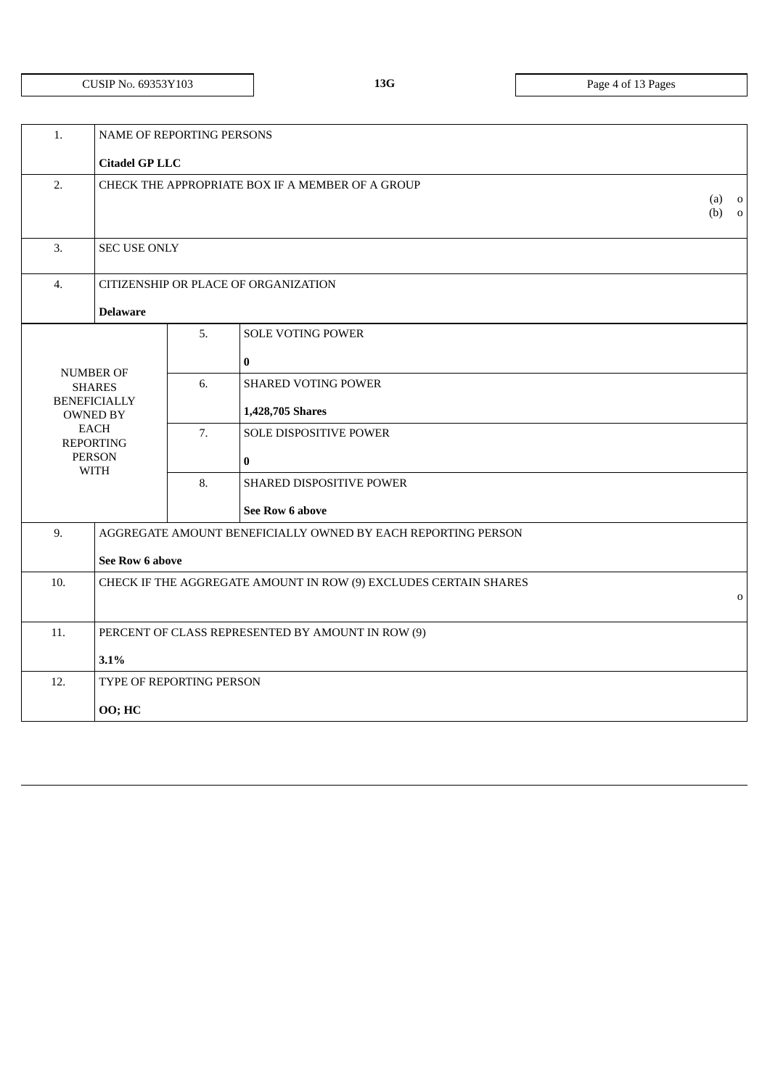# CUSIP NO. 69353Y103 **13G** Page 4 of 13 Pages

| 1.                                                                      | <b>NAME OF REPORTING PERSONS</b>                 |                          |                                                              |                    |  |
|-------------------------------------------------------------------------|--------------------------------------------------|--------------------------|--------------------------------------------------------------|--------------------|--|
|                                                                         | <b>Citadel GP LLC</b>                            |                          |                                                              |                    |  |
| 2.                                                                      | CHECK THE APPROPRIATE BOX IF A MEMBER OF A GROUP |                          |                                                              | $(a)$ 0<br>$(b)$ 0 |  |
| 3.                                                                      | <b>SEC USE ONLY</b>                              |                          |                                                              |                    |  |
| 4.                                                                      |                                                  |                          | CITIZENSHIP OR PLACE OF ORGANIZATION                         |                    |  |
|                                                                         | <b>Delaware</b>                                  |                          |                                                              |                    |  |
|                                                                         |                                                  | 5.                       | <b>SOLE VOTING POWER</b>                                     |                    |  |
|                                                                         |                                                  |                          | $\bf{0}$                                                     |                    |  |
|                                                                         | NUMBER OF<br><b>SHARES</b>                       | 6.                       | <b>SHARED VOTING POWER</b>                                   |                    |  |
|                                                                         | <b>BENEFICIALLY</b><br><b>OWNED BY</b>           |                          | 1,428,705 Shares                                             |                    |  |
|                                                                         | <b>EACH</b><br><b>REPORTING</b>                  | 7.                       | SOLE DISPOSITIVE POWER                                       |                    |  |
|                                                                         | <b>PERSON</b><br><b>WITH</b>                     |                          | $\bf{0}$                                                     |                    |  |
|                                                                         |                                                  | 8.                       | SHARED DISPOSITIVE POWER                                     |                    |  |
|                                                                         |                                                  |                          | <b>See Row 6 above</b>                                       |                    |  |
| 9.                                                                      |                                                  |                          | AGGREGATE AMOUNT BENEFICIALLY OWNED BY EACH REPORTING PERSON |                    |  |
|                                                                         | See Row 6 above                                  |                          |                                                              |                    |  |
| 10.<br>CHECK IF THE AGGREGATE AMOUNT IN ROW (9) EXCLUDES CERTAIN SHARES |                                                  |                          | $\mathbf 0$                                                  |                    |  |
|                                                                         |                                                  |                          |                                                              |                    |  |
| 11.<br>PERCENT OF CLASS REPRESENTED BY AMOUNT IN ROW (9)                |                                                  |                          |                                                              |                    |  |
|                                                                         | 3.1%                                             |                          |                                                              |                    |  |
| 12.                                                                     |                                                  | TYPE OF REPORTING PERSON |                                                              |                    |  |
| 00; HC                                                                  |                                                  |                          |                                                              |                    |  |
|                                                                         |                                                  |                          |                                                              |                    |  |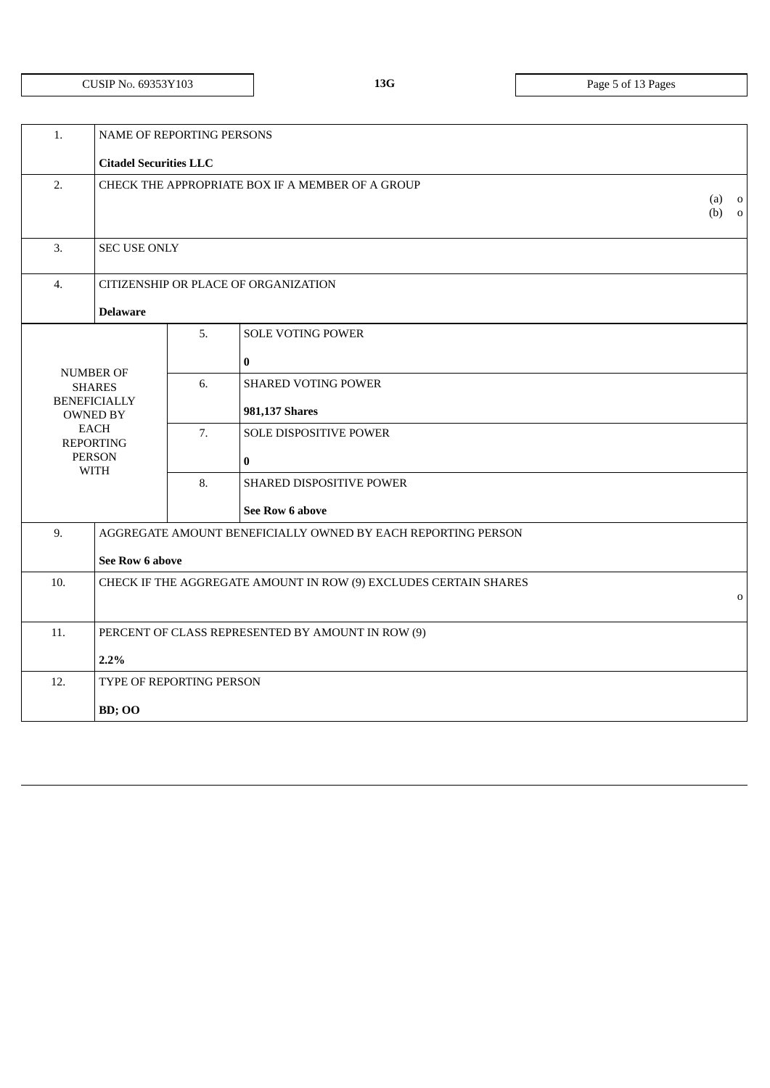# CUSIP NO. 69353Y103 **13G** Page 5 of 13 Pages

| 1.                                                       | NAME OF REPORTING PERSONS                                                       |    |                                                              |                    |  |  |
|----------------------------------------------------------|---------------------------------------------------------------------------------|----|--------------------------------------------------------------|--------------------|--|--|
|                                                          | <b>Citadel Securities LLC</b>                                                   |    |                                                              |                    |  |  |
| 2.                                                       | CHECK THE APPROPRIATE BOX IF A MEMBER OF A GROUP                                |    |                                                              | $(a)$ o<br>$(b)$ 0 |  |  |
| 3.                                                       | <b>SEC USE ONLY</b>                                                             |    |                                                              |                    |  |  |
| $\overline{4}$ .                                         |                                                                                 |    | CITIZENSHIP OR PLACE OF ORGANIZATION                         |                    |  |  |
|                                                          | <b>Delaware</b>                                                                 |    |                                                              |                    |  |  |
|                                                          |                                                                                 | 5. | <b>SOLE VOTING POWER</b>                                     |                    |  |  |
|                                                          | <b>NUMBER OF</b>                                                                |    | $\bf{0}$                                                     |                    |  |  |
|                                                          | <b>SHARES</b><br><b>BENEFICIALLY</b><br><b>OWNED BY</b>                         | 6. | <b>SHARED VOTING POWER</b><br>981,137 Shares                 |                    |  |  |
|                                                          | <b>EACH</b><br><b>REPORTING</b>                                                 | 7. | SOLE DISPOSITIVE POWER                                       |                    |  |  |
|                                                          | <b>PERSON</b><br><b>WITH</b>                                                    |    | $\bf{0}$                                                     |                    |  |  |
|                                                          |                                                                                 | 8. | SHARED DISPOSITIVE POWER                                     |                    |  |  |
|                                                          |                                                                                 |    | See Row 6 above                                              |                    |  |  |
| 9.                                                       |                                                                                 |    | AGGREGATE AMOUNT BENEFICIALLY OWNED BY EACH REPORTING PERSON |                    |  |  |
|                                                          | See Row 6 above                                                                 |    |                                                              |                    |  |  |
| 10.                                                      | CHECK IF THE AGGREGATE AMOUNT IN ROW (9) EXCLUDES CERTAIN SHARES<br>$\mathbf 0$ |    |                                                              |                    |  |  |
| 11.<br>PERCENT OF CLASS REPRESENTED BY AMOUNT IN ROW (9) |                                                                                 |    |                                                              |                    |  |  |
|                                                          | 2.2%                                                                            |    |                                                              |                    |  |  |
| 12.                                                      | TYPE OF REPORTING PERSON                                                        |    |                                                              |                    |  |  |
|                                                          | <b>BD</b> ; OO                                                                  |    |                                                              |                    |  |  |
|                                                          |                                                                                 |    |                                                              |                    |  |  |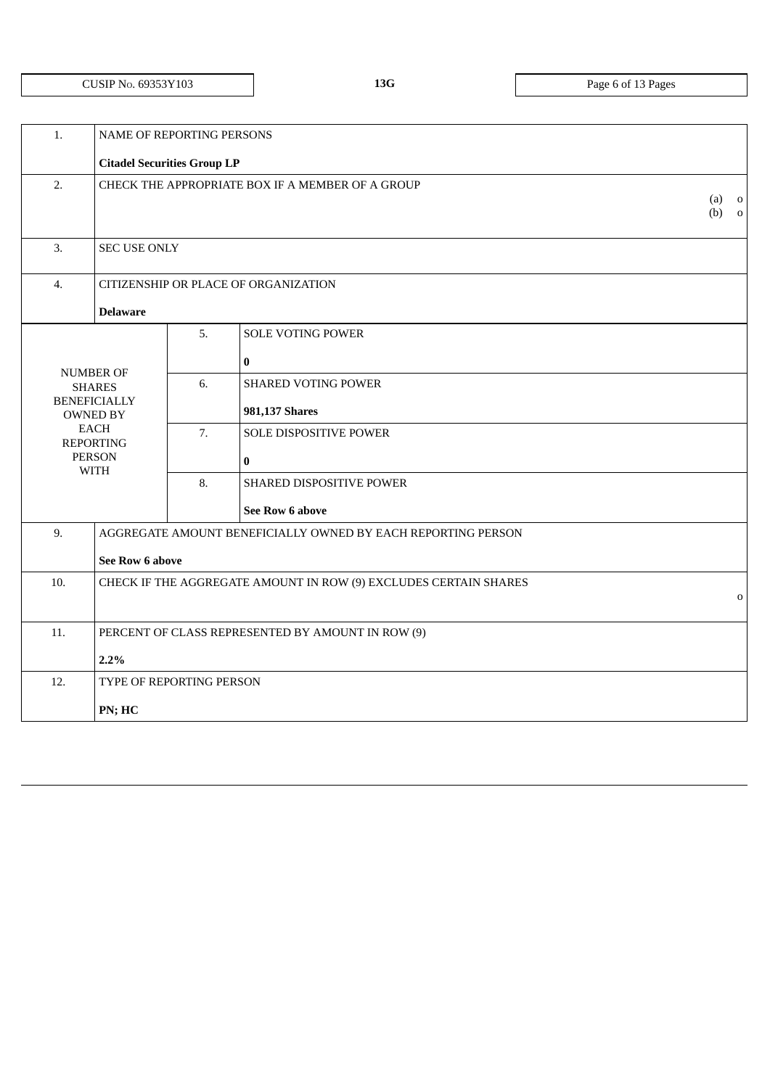|  | CUSIP No. 69353Y103 |
|--|---------------------|
|--|---------------------|

**13G** Page 6 of 13 Pages

| 1.                                                       | NAME OF REPORTING PERSONS                        |    |                                                                  |                    |  |
|----------------------------------------------------------|--------------------------------------------------|----|------------------------------------------------------------------|--------------------|--|
|                                                          | <b>Citadel Securities Group LP</b>               |    |                                                                  |                    |  |
| 2.                                                       | CHECK THE APPROPRIATE BOX IF A MEMBER OF A GROUP |    |                                                                  | $(a)$ o<br>$(b)$ 0 |  |
| 3.                                                       | <b>SEC USE ONLY</b>                              |    |                                                                  |                    |  |
| $\overline{4}$ .                                         |                                                  |    | CITIZENSHIP OR PLACE OF ORGANIZATION                             |                    |  |
|                                                          | <b>Delaware</b>                                  |    |                                                                  |                    |  |
|                                                          |                                                  | 5. | <b>SOLE VOTING POWER</b>                                         |                    |  |
|                                                          |                                                  |    | $\bf{0}$                                                         |                    |  |
|                                                          | <b>NUMBER OF</b><br><b>SHARES</b>                | 6. | <b>SHARED VOTING POWER</b>                                       |                    |  |
|                                                          | <b>BENEFICIALLY</b><br><b>OWNED BY</b>           |    | 981,137 Shares                                                   |                    |  |
|                                                          | <b>EACH</b><br><b>REPORTING</b>                  | 7. | SOLE DISPOSITIVE POWER                                           |                    |  |
|                                                          | <b>PERSON</b><br><b>WITH</b>                     |    | $\bf{0}$                                                         |                    |  |
|                                                          |                                                  | 8. | SHARED DISPOSITIVE POWER                                         |                    |  |
|                                                          |                                                  |    | See Row 6 above                                                  |                    |  |
| 9.                                                       |                                                  |    | AGGREGATE AMOUNT BENEFICIALLY OWNED BY EACH REPORTING PERSON     |                    |  |
|                                                          | <b>See Row 6 above</b>                           |    |                                                                  |                    |  |
| 10.                                                      |                                                  |    | CHECK IF THE AGGREGATE AMOUNT IN ROW (9) EXCLUDES CERTAIN SHARES |                    |  |
|                                                          | $\mathbf 0$                                      |    |                                                                  |                    |  |
| 11.<br>PERCENT OF CLASS REPRESENTED BY AMOUNT IN ROW (9) |                                                  |    |                                                                  |                    |  |
| 2.2%                                                     |                                                  |    |                                                                  |                    |  |
| 12.                                                      | TYPE OF REPORTING PERSON                         |    |                                                                  |                    |  |
| PN; HC                                                   |                                                  |    |                                                                  |                    |  |
|                                                          |                                                  |    |                                                                  |                    |  |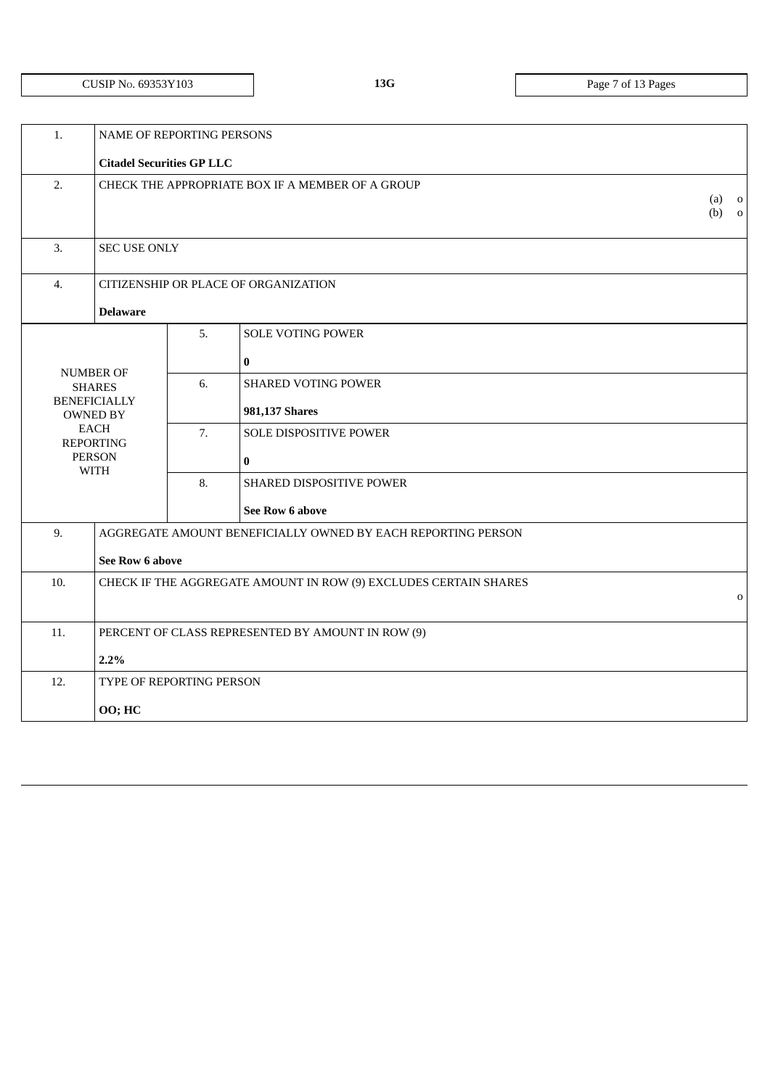**13G** Page 7 of 13 Pages

| 1.                                                       | NAME OF REPORTING PERSONS                        |    |                                                                  |                    |  |
|----------------------------------------------------------|--------------------------------------------------|----|------------------------------------------------------------------|--------------------|--|
|                                                          | <b>Citadel Securities GP LLC</b>                 |    |                                                                  |                    |  |
| 2.                                                       | CHECK THE APPROPRIATE BOX IF A MEMBER OF A GROUP |    |                                                                  | $(a)$ o<br>$(b)$ 0 |  |
| 3.                                                       | <b>SEC USE ONLY</b>                              |    |                                                                  |                    |  |
| $\overline{4}$ .                                         |                                                  |    | CITIZENSHIP OR PLACE OF ORGANIZATION                             |                    |  |
|                                                          | <b>Delaware</b>                                  |    |                                                                  |                    |  |
|                                                          |                                                  | 5. | <b>SOLE VOTING POWER</b>                                         |                    |  |
|                                                          |                                                  |    | $\bf{0}$                                                         |                    |  |
|                                                          | <b>NUMBER OF</b><br><b>SHARES</b>                | 6. | <b>SHARED VOTING POWER</b>                                       |                    |  |
|                                                          | <b>BENEFICIALLY</b><br><b>OWNED BY</b>           |    | 981,137 Shares                                                   |                    |  |
|                                                          | <b>EACH</b><br><b>REPORTING</b>                  | 7. | SOLE DISPOSITIVE POWER                                           |                    |  |
|                                                          | <b>PERSON</b>                                    |    | $\bf{0}$                                                         |                    |  |
|                                                          | <b>WITH</b>                                      | 8. | SHARED DISPOSITIVE POWER                                         |                    |  |
|                                                          |                                                  |    | <b>See Row 6 above</b>                                           |                    |  |
| 9.                                                       |                                                  |    | AGGREGATE AMOUNT BENEFICIALLY OWNED BY EACH REPORTING PERSON     |                    |  |
|                                                          | <b>See Row 6 above</b>                           |    |                                                                  |                    |  |
| 10.                                                      |                                                  |    | CHECK IF THE AGGREGATE AMOUNT IN ROW (9) EXCLUDES CERTAIN SHARES |                    |  |
|                                                          | $\mathbf 0$                                      |    |                                                                  |                    |  |
| 11.<br>PERCENT OF CLASS REPRESENTED BY AMOUNT IN ROW (9) |                                                  |    |                                                                  |                    |  |
| 2.2%                                                     |                                                  |    |                                                                  |                    |  |
| 12.                                                      | TYPE OF REPORTING PERSON                         |    |                                                                  |                    |  |
| 00; HC                                                   |                                                  |    |                                                                  |                    |  |
|                                                          |                                                  |    |                                                                  |                    |  |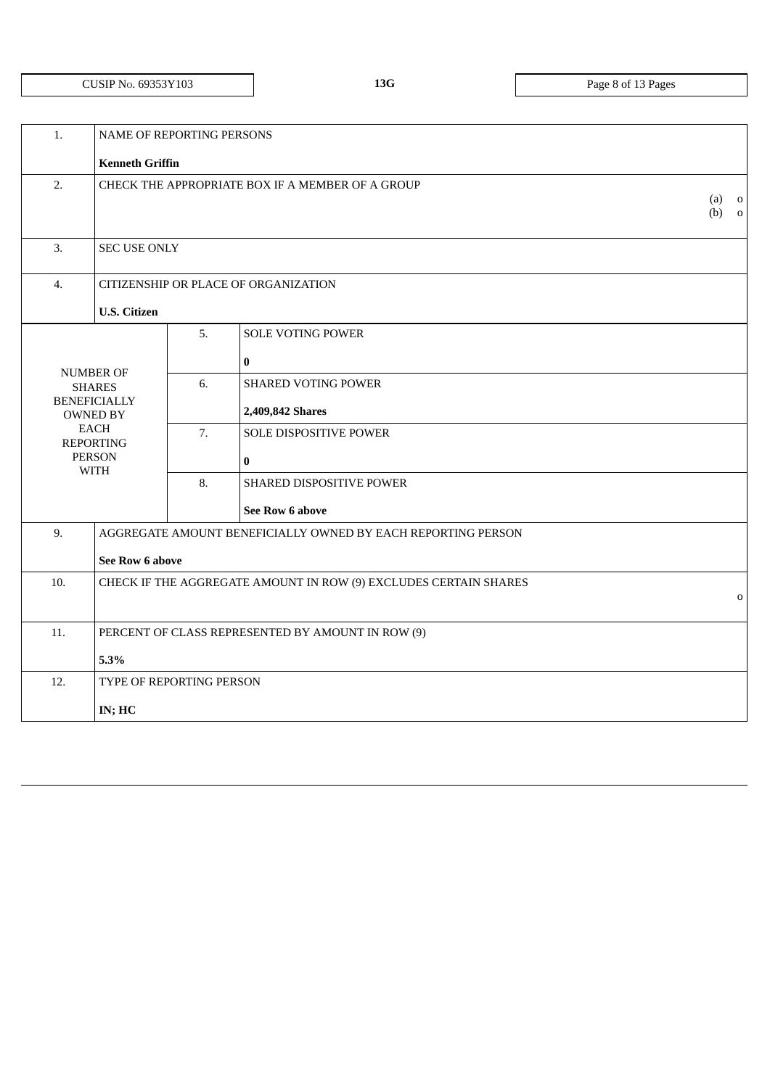# CUSIP NO. 69353Y103 **13G** Page 8 of 13 Pages

| 1.                                                       |                                                                                 | NAME OF REPORTING PERSONS |                                                |                    |  |  |
|----------------------------------------------------------|---------------------------------------------------------------------------------|---------------------------|------------------------------------------------|--------------------|--|--|
|                                                          | <b>Kenneth Griffin</b>                                                          |                           |                                                |                    |  |  |
| 2.                                                       | CHECK THE APPROPRIATE BOX IF A MEMBER OF A GROUP                                |                           |                                                | $(a)$ 0<br>$(b)$ 0 |  |  |
| 3.                                                       | <b>SEC USE ONLY</b>                                                             |                           |                                                |                    |  |  |
| 4.                                                       |                                                                                 |                           | CITIZENSHIP OR PLACE OF ORGANIZATION           |                    |  |  |
|                                                          | <b>U.S. Citizen</b>                                                             |                           |                                                |                    |  |  |
|                                                          |                                                                                 | 5.                        | <b>SOLE VOTING POWER</b><br>$\bf{0}$           |                    |  |  |
|                                                          | <b>NUMBER OF</b><br><b>SHARES</b><br><b>BENEFICIALLY</b><br><b>OWNED BY</b>     | 6.                        | <b>SHARED VOTING POWER</b><br>2,409,842 Shares |                    |  |  |
|                                                          | <b>EACH</b><br><b>REPORTING</b><br><b>PERSON</b><br><b>WITH</b>                 | 7.                        | <b>SOLE DISPOSITIVE POWER</b><br>$\bf{0}$      |                    |  |  |
|                                                          |                                                                                 | 8.                        | SHARED DISPOSITIVE POWER                       |                    |  |  |
|                                                          |                                                                                 |                           | See Row 6 above                                |                    |  |  |
| 9.                                                       | AGGREGATE AMOUNT BENEFICIALLY OWNED BY EACH REPORTING PERSON<br>See Row 6 above |                           |                                                |                    |  |  |
| 10.                                                      | CHECK IF THE AGGREGATE AMOUNT IN ROW (9) EXCLUDES CERTAIN SHARES<br>$\mathbf 0$ |                           |                                                |                    |  |  |
| 11.<br>PERCENT OF CLASS REPRESENTED BY AMOUNT IN ROW (9) |                                                                                 |                           |                                                |                    |  |  |
|                                                          | 5.3%                                                                            |                           |                                                |                    |  |  |
| 12.<br>TYPE OF REPORTING PERSON                          |                                                                                 |                           |                                                |                    |  |  |
|                                                          | IN; HC                                                                          |                           |                                                |                    |  |  |
|                                                          |                                                                                 |                           |                                                |                    |  |  |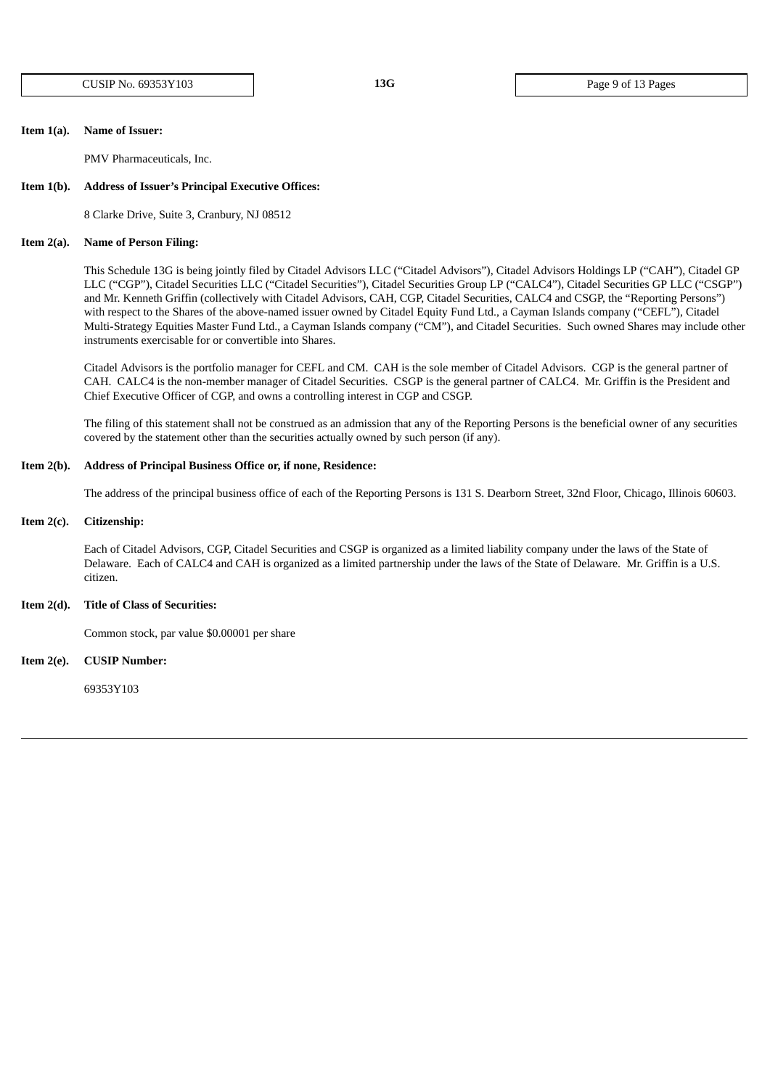CUSIP NO. 69353Y103 **13G** Page 9 of 13 Pages

## **Item 1(a). Name of Issuer:**

PMV Pharmaceuticals, Inc.

### **Item 1(b). Address of Issuer's Principal Executive Offices:**

8 Clarke Drive, Suite 3, Cranbury, NJ 08512

### **Item 2(a). Name of Person Filing:**

This Schedule 13G is being jointly filed by Citadel Advisors LLC ("Citadel Advisors"), Citadel Advisors Holdings LP ("CAH"), Citadel GP LLC ("CGP"), Citadel Securities LLC ("Citadel Securities"), Citadel Securities Group LP ("CALC4"), Citadel Securities GP LLC ("CSGP") and Mr. Kenneth Griffin (collectively with Citadel Advisors, CAH, CGP, Citadel Securities, CALC4 and CSGP, the "Reporting Persons") with respect to the Shares of the above-named issuer owned by Citadel Equity Fund Ltd., a Cayman Islands company ("CEFL"), Citadel Multi-Strategy Equities Master Fund Ltd., a Cayman Islands company ("CM"), and Citadel Securities. Such owned Shares may include other instruments exercisable for or convertible into Shares.

Citadel Advisors is the portfolio manager for CEFL and CM. CAH is the sole member of Citadel Advisors. CGP is the general partner of CAH. CALC4 is the non-member manager of Citadel Securities. CSGP is the general partner of CALC4. Mr. Griffin is the President and Chief Executive Officer of CGP, and owns a controlling interest in CGP and CSGP.

The filing of this statement shall not be construed as an admission that any of the Reporting Persons is the beneficial owner of any securities covered by the statement other than the securities actually owned by such person (if any).

# **Item 2(b). Address of Principal Business Office or, if none, Residence:**

The address of the principal business office of each of the Reporting Persons is 131 S. Dearborn Street, 32nd Floor, Chicago, Illinois 60603.

#### **Item 2(c). Citizenship:**

Each of Citadel Advisors, CGP, Citadel Securities and CSGP is organized as a limited liability company under the laws of the State of Delaware. Each of CALC4 and CAH is organized as a limited partnership under the laws of the State of Delaware. Mr. Griffin is a U.S. citizen.

### **Item 2(d). Title of Class of Securities:**

Common stock, par value \$0.00001 per share

**Item 2(e). CUSIP Number:**

69353Y103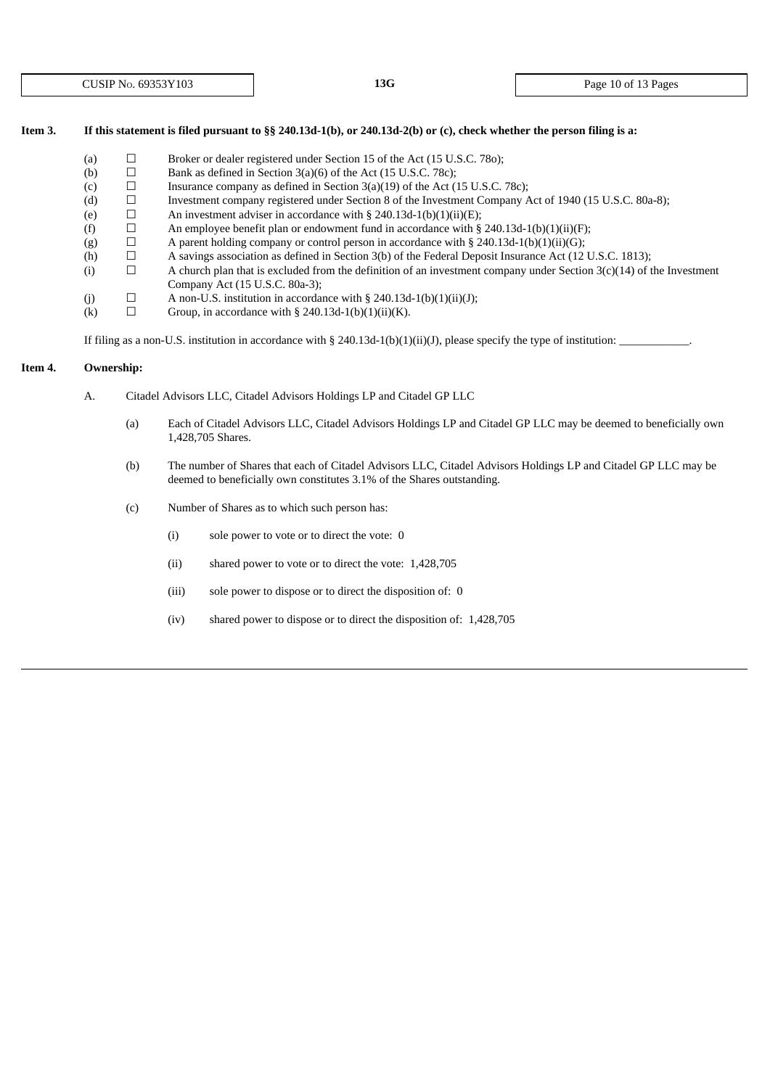# Item 3. If this statement is filed pursuant to §§ 240.13d-1(b), or 240.13d-2(b) or (c), check whether the person filing is a:

- (a)  $\Box$  Broker or dealer registered under Section 15 of the Act (15 U.S.C. 780);
- (b)  $\Box$  Bank as defined in Section 3(a)(6) of the Act (15 U.S.C. 78c);
- (c)  $\Box$  Insurance company as defined in Section 3(a)(19) of the Act (15 U.S.C. 78c);
- (d) ☐ Investment company registered under Section 8 of the Investment Company Act of 1940 (15 U.S.C. 80a-8);
- (e)  $\Box$  An investment adviser in accordance with § 240.13d-1(b)(1)(ii)(E);
- (f)  $\Box$  An employee benefit plan or endowment fund in accordance with § 240.13d-1(b)(1)(ii)(F);
- (g)  $\Box$  A parent holding company or control person in accordance with § 240.13d-1(b)(1)(ii)(G);
- (h)  $\Box$  A savings association as defined in Section 3(b) of the Federal Deposit Insurance Act (12 U.S.C. 1813);<br>(i)  $\Box$  A church plan that is excluded from the definition of an investment company under Section 3(c)(14)
- (i)  $□$  A church plan that is excluded from the definition of an investment company under Section  $3(c)(14)$  of the Investment Company Act (15 U.S.C. 80a-3);
- (j)  $\Box$  A non-U.S. institution in accordance with § 240.13d-1(b)(1)(ii)(J);
- (k)  $\Box$  Group, in accordance with § 240.13d-1(b)(1)(ii)(K).

If filing as a non-U.S. institution in accordance with § 240.13d-1(b)(1)(ii)(J), please specify the type of institution:

# **Item 4. Ownership:**

- A. Citadel Advisors LLC, Citadel Advisors Holdings LP and Citadel GP LLC
	- (a) Each of Citadel Advisors LLC, Citadel Advisors Holdings LP and Citadel GP LLC may be deemed to beneficially own 1,428,705 Shares.
	- (b) The number of Shares that each of Citadel Advisors LLC, Citadel Advisors Holdings LP and Citadel GP LLC may be deemed to beneficially own constitutes 3.1% of the Shares outstanding.
	- (c) Number of Shares as to which such person has:
		- (i) sole power to vote or to direct the vote: 0
		- (ii) shared power to vote or to direct the vote: 1,428,705
		- (iii) sole power to dispose or to direct the disposition of: 0
		- (iv) shared power to dispose or to direct the disposition of: 1,428,705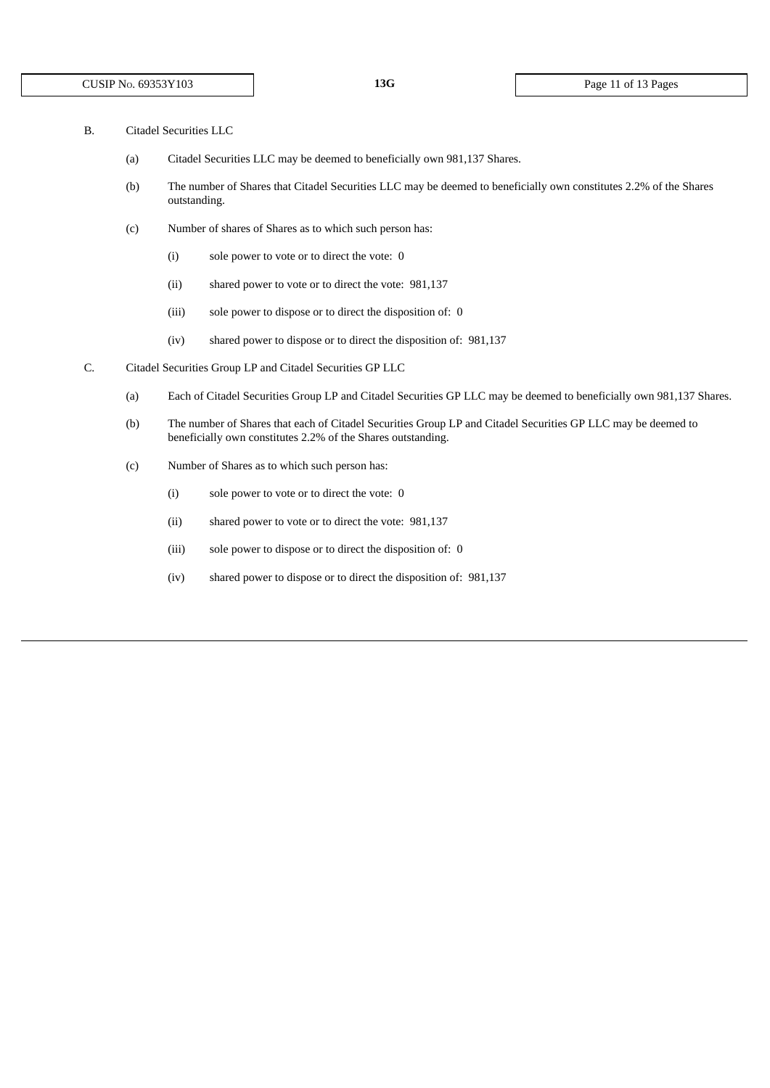- B. Citadel Securities LLC
	- (a) Citadel Securities LLC may be deemed to beneficially own 981,137 Shares.
	- (b) The number of Shares that Citadel Securities LLC may be deemed to beneficially own constitutes 2.2% of the Shares outstanding.
	- (c) Number of shares of Shares as to which such person has:
		- (i) sole power to vote or to direct the vote: 0
		- (ii) shared power to vote or to direct the vote: 981,137
		- (iii) sole power to dispose or to direct the disposition of: 0
		- (iv) shared power to dispose or to direct the disposition of: 981,137
- C. Citadel Securities Group LP and Citadel Securities GP LLC
	- (a) Each of Citadel Securities Group LP and Citadel Securities GP LLC may be deemed to beneficially own 981,137 Shares.
	- (b) The number of Shares that each of Citadel Securities Group LP and Citadel Securities GP LLC may be deemed to beneficially own constitutes 2.2% of the Shares outstanding.
	- (c) Number of Shares as to which such person has:
		- (i) sole power to vote or to direct the vote: 0
		- (ii) shared power to vote or to direct the vote: 981,137
		- (iii) sole power to dispose or to direct the disposition of: 0
		- (iv) shared power to dispose or to direct the disposition of: 981,137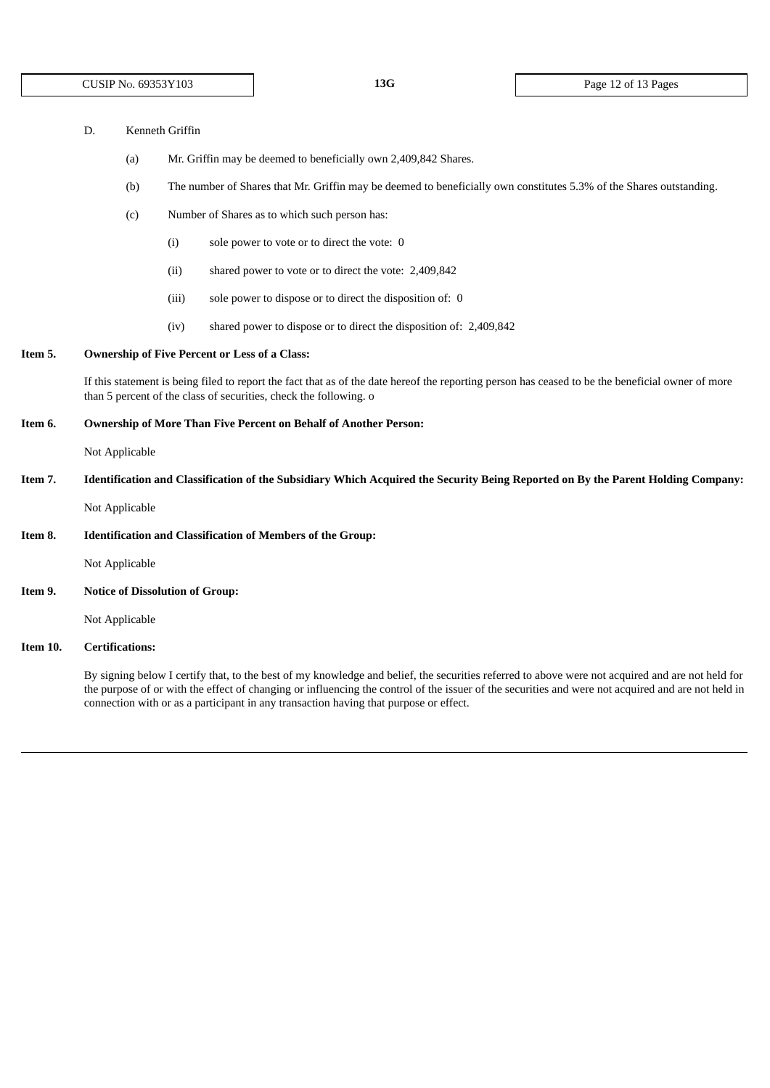| D. | Kenneth Griffin |  |
|----|-----------------|--|
|    |                 |  |

- (a) Mr. Griffin may be deemed to beneficially own 2,409,842 Shares.
- (b) The number of Shares that Mr. Griffin may be deemed to beneficially own constitutes 5.3% of the Shares outstanding.
- (c) Number of Shares as to which such person has:
	- (i) sole power to vote or to direct the vote: 0
	- (ii) shared power to vote or to direct the vote: 2,409,842
	- (iii) sole power to dispose or to direct the disposition of: 0
	- (iv) shared power to dispose or to direct the disposition of: 2,409,842

# **Item 5. Ownership of Five Percent or Less of a Class:**

If this statement is being filed to report the fact that as of the date hereof the reporting person has ceased to be the beneficial owner of more than 5 percent of the class of securities, check the following. o

#### **Item 6. Ownership of More Than Five Percent on Behalf of Another Person:**

Not Applicable

Item 7. Identification and Classification of the Subsidiary Which Acquired the Security Being Reported on By the Parent Holding Company:

Not Applicable

**Item 8. Identification and Classification of Members of the Group:**

Not Applicable

**Item 9. Notice of Dissolution of Group:**

Not Applicable

# **Item 10. Certifications:**

By signing below I certify that, to the best of my knowledge and belief, the securities referred to above were not acquired and are not held for the purpose of or with the effect of changing or influencing the control of the issuer of the securities and were not acquired and are not held in connection with or as a participant in any transaction having that purpose or effect.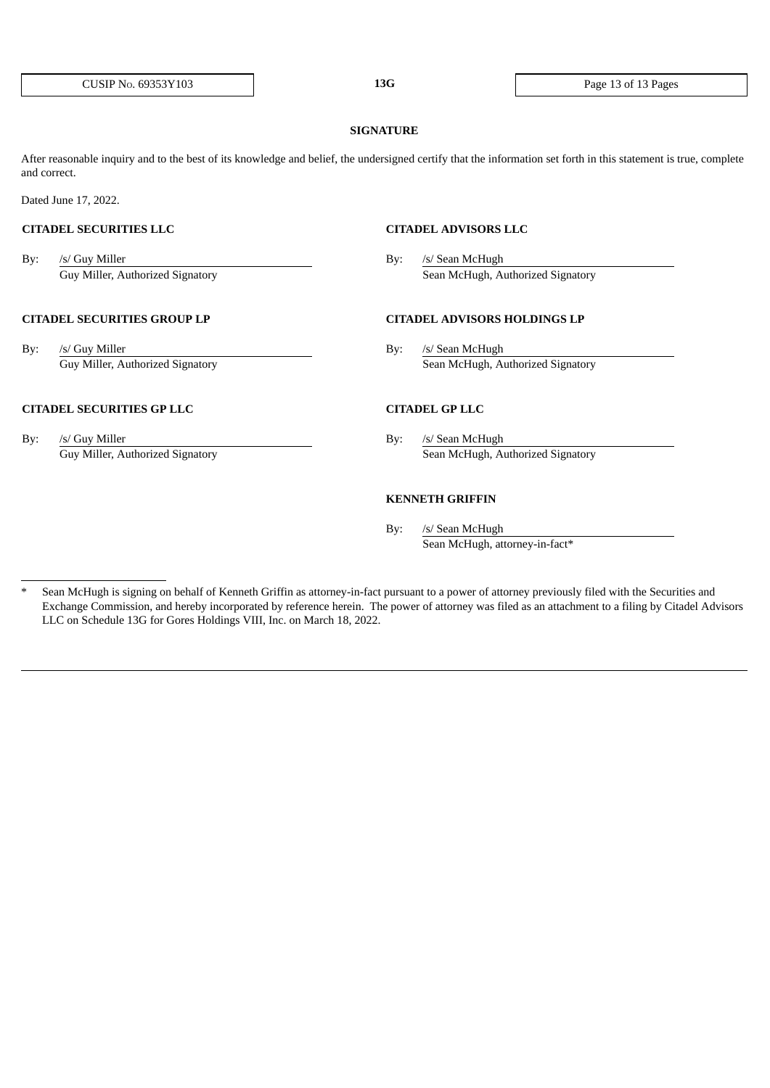#### **SIGNATURE**

After reasonable inquiry and to the best of its knowledge and belief, the undersigned certify that the information set forth in this statement is true, complete and correct.

Dated June 17, 2022.

By: /s/ Guy Miller By: /s/ Sean McHugh

### **CITADEL SECURITIES GROUP LP CITADEL ADVISORS HOLDINGS LP**

By: /s/ Guy Miller By: /s/ Sean McHugh

# **CITADEL SECURITIES GP LLC CITADEL GP LLC**

By: /s/ Guy Miller By: /s/ Sean McHugh

**CITADEL SECURITIES LLC CITADEL ADVISORS LLC**

Guy Miller, Authorized Signatory **Sean McHugh, Authorized Signatory** Sean McHugh, Authorized Signatory

Guy Miller, Authorized Signatory Sean McHugh, Authorized Signatory

Guy Miller, Authorized Signatory **Sean McHugh, Authorized Signatory** Sean McHugh, Authorized Signatory

## **KENNETH GRIFFIN**

By: /s/ Sean McHugh Sean McHugh, attorney-in-fact\*

Sean McHugh is signing on behalf of Kenneth Griffin as attorney-in-fact pursuant to a power of attorney previously filed with the Securities and Exchange Commission, and hereby incorporated by reference herein. The power of attorney was filed as an attachment to a filing by Citadel Advisors LLC on Schedule 13G for Gores Holdings VIII, Inc. on March 18, 2022.